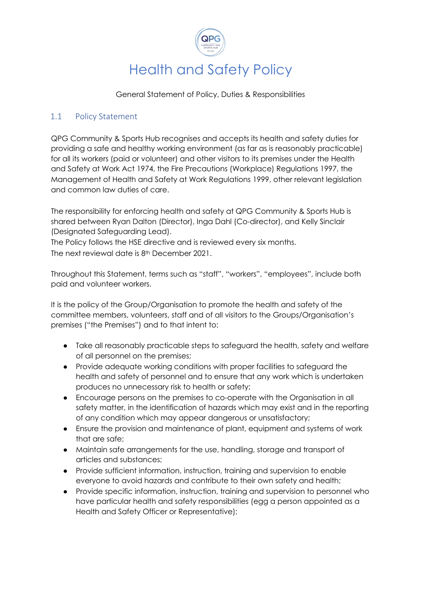

General Statement of Policy, Duties & Responsibilities

## 1.1 Policy Statement

QPG Community & Sports Hub recognises and accepts its health and safety duties for providing a safe and healthy working environment (as far as is reasonably practicable) for all its workers (paid or volunteer) and other visitors to its premises under the Health and Safety at Work Act 1974, the Fire Precautions (Workplace) Regulations 1997, the Management of Health and Safety at Work Regulations 1999, other relevant legislation and common law duties of care.

The responsibility for enforcing health and safety at QPG Community & Sports Hub is shared between Ryan Dalton (Director), Inga Dahl (Co-director), and Kelly Sinclair (Designated Safeguarding Lead).

The Policy follows the HSE directive and is reviewed every six months. The next reviewal date is 8th December 2021.

Throughout this Statement, terms such as "staff", "workers", "employees", include both paid and volunteer workers.

It is the policy of the Group/Organisation to promote the health and safety of the committee members, volunteers, staff and of all visitors to the Groups/Organisation's premises ("the Premises") and to that intent to:

- Take all reasonably practicable steps to safeguard the health, safety and welfare of all personnel on the premises;
- Provide adequate working conditions with proper facilities to safeguard the health and safety of personnel and to ensure that any work which is undertaken produces no unnecessary risk to health or safety;
- Encourage persons on the premises to co-operate with the Organisation in all safety matter, in the identification of hazards which may exist and in the reporting of any condition which may appear dangerous or unsatisfactory;
- Ensure the provision and maintenance of plant, equipment and systems of work that are safe;
- Maintain safe arrangements for the use, handling, storage and transport of articles and substances;
- Provide sufficient information, instruction, training and supervision to enable everyone to avoid hazards and contribute to their own safety and health;
- Provide specific information, instruction, training and supervision to personnel who have particular health and safety responsibilities (egg a person appointed as a Health and Safety Officer or Representative);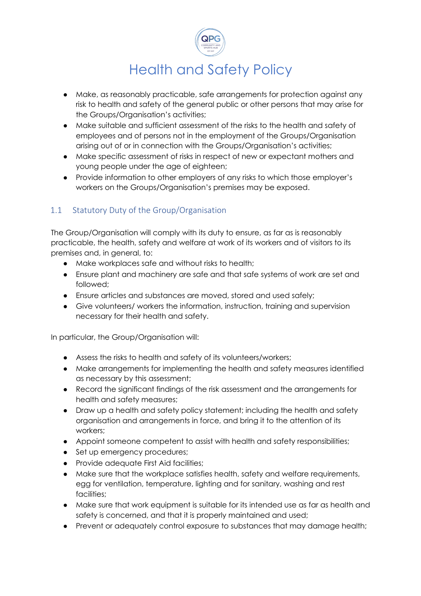

- Make, as reasonably practicable, safe arrangements for protection against any risk to health and safety of the general public or other persons that may arise for the Groups/Organisation's activities;
- Make suitable and sufficient assessment of the risks to the health and safety of employees and of persons not in the employment of the Groups/Organisation arising out of or in connection with the Groups/Organisation's activities;
- Make specific assessment of risks in respect of new or expectant mothers and young people under the age of eighteen;
- Provide information to other employers of any risks to which those employer's workers on the Groups/Organisation's premises may be exposed.

## 1.1 Statutory Duty of the Group/Organisation

The Group/Organisation will comply with its duty to ensure, as far as is reasonably practicable, the health, safety and welfare at work of its workers and of visitors to its premises and, in general, to:

- Make workplaces safe and without risks to health;
- Ensure plant and machinery are safe and that safe systems of work are set and followed;
- Ensure articles and substances are moved, stored and used safely;
- Give volunteers/ workers the information, instruction, training and supervision necessary for their health and safety.

In particular, the Group/Organisation will:

- Assess the risks to health and safety of its volunteers/workers;
- Make arrangements for implementing the health and safety measures identified as necessary by this assessment;
- Record the significant findings of the risk assessment and the arrangements for health and safety measures;
- Draw up a health and safety policy statement; including the health and safety organisation and arrangements in force, and bring it to the attention of its workers;
- Appoint someone competent to assist with health and safety responsibilities;
- Set up emergency procedures;
- Provide adequate First Aid facilities;
- Make sure that the workplace satisfies health, safety and welfare requirements, egg for ventilation, temperature, lighting and for sanitary, washing and rest facilities;
- Make sure that work equipment is suitable for its intended use as far as health and safety is concerned, and that it is properly maintained and used;
- Prevent or adequately control exposure to substances that may damage health;